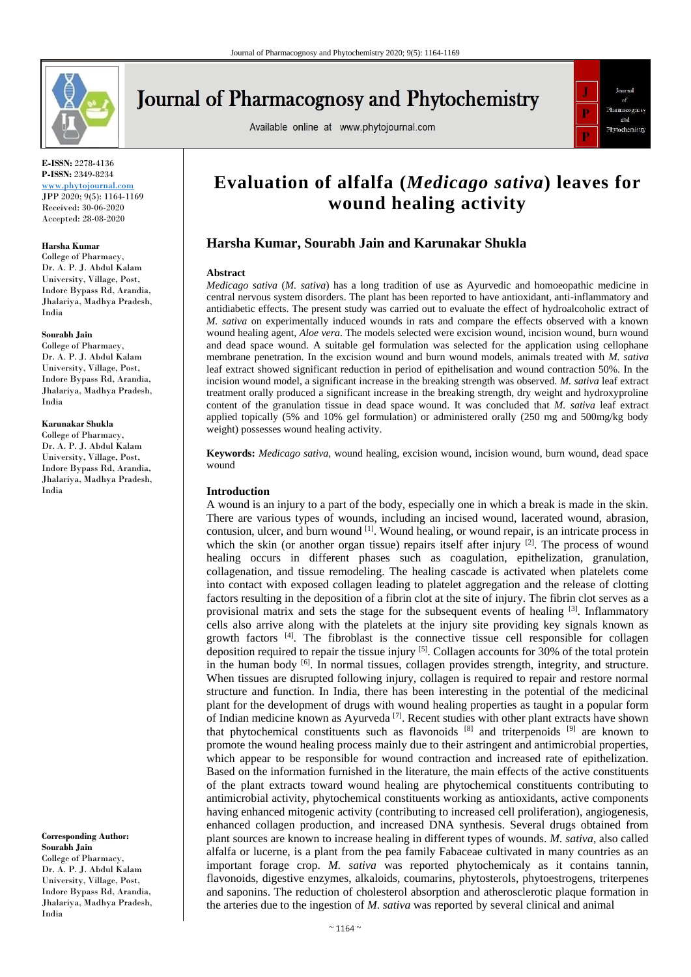

# **Journal of Pharmacognosy and Phytochemistry**

Available online at www.phytojournal.com



**E-ISSN:** 2278-4136 **P-ISSN:** 2349-8234 <www.phytojournal.com>

JPP 2020; 9(5): 1164-1169 Received: 30-06-2020 Accepted: 28-08-2020

#### **Harsha Kumar**

College of Pharmacy, Dr. A. P. J. Abdul Kalam University, Village, Post, Indore Bypass Rd, Arandia, Jhalariya, Madhya Pradesh, India

#### **Sourabh Jain**

College of Pharmacy, Dr. A. P. J. Abdul Kalam University, Village, Post, Indore Bypass Rd, Arandia, Jhalariya, Madhya Pradesh, India

#### **Karunakar Shukla**

College of Pharmacy, Dr. A. P. J. Abdul Kalam University, Village, Post, Indore Bypass Rd, Arandia, Jhalariya, Madhya Pradesh, India

**Corresponding Author: Sourabh Jain** College of Pharmacy, Dr. A. P. J. Abdul Kalam University, Village, Post, Indore Bypass Rd, Arandia, Jhalariya, Madhya Pradesh, India

## **Evaluation of alfalfa (***Medicago sativa***) leaves for wound healing activity**

### **Harsha Kumar, Sourabh Jain and Karunakar Shukla**

#### **Abstract**

*Medicago sativa* (*M. sativa*) has a long tradition of use as Ayurvedic and homoeopathic medicine in central nervous system disorders. The plant has been reported to have antioxidant, anti-inflammatory and antidiabetic effects. The present study was carried out to evaluate the effect of hydroalcoholic extract of *M. sativa* on experimentally induced wounds in rats and compare the effects observed with a known wound healing agent, *Aloe vera*. The models selected were excision wound, incision wound, burn wound and dead space wound. A suitable gel formulation was selected for the application using cellophane membrane penetration. In the excision wound and burn wound models, animals treated with *M. sativa* leaf extract showed significant reduction in period of epithelisation and wound contraction 50%. In the incision wound model, a significant increase in the breaking strength was observed. *M. sativa* leaf extract treatment orally produced a significant increase in the breaking strength, dry weight and hydroxyproline content of the granulation tissue in dead space wound. It was concluded that *M. sativa* leaf extract applied topically (5% and 10% gel formulation) or administered orally (250 mg and 500mg/kg body weight) possesses wound healing activity.

**Keywords:** *Medicago sativa*, wound healing, excision wound, incision wound, burn wound, dead space wound

#### **Introduction**

A wound is an injury to a part of the body, especially one in which a break is made in the skin. There are various types of wounds, including an incised wound, lacerated wound, abrasion, contusion, ulcer, and burn wound [1]. Wound healing, or wound repair, is an intricate process in which the skin (or another organ tissue) repairs itself after injury [2]. The process of wound healing occurs in different phases such as coagulation, epithelization, granulation, collagenation, and tissue remodeling. The healing cascade is activated when platelets come into contact with exposed collagen leading to platelet aggregation and the release of clotting factors resulting in the deposition of a fibrin clot at the site of injury. The fibrin clot serves as a provisional matrix and sets the stage for the subsequent events of healing  $[3]$ . Inflammatory cells also arrive along with the platelets at the injury site providing key signals known as growth factors  $[4]$ . The fibroblast is the connective tissue cell responsible for collagen deposition required to repair the tissue injury  $[5]$ . Collagen accounts for 30% of the total protein in the human body <sup>[6]</sup>. In normal tissues, collagen provides strength, integrity, and structure. When tissues are disrupted following injury, collagen is required to repair and restore normal structure and function. In India, there has been interesting in the potential of the medicinal plant for the development of drugs with wound healing properties as taught in a popular form of Indian medicine known as Ayurveda  $[7]$ . Recent studies with other plant extracts have shown that phytochemical constituents such as flavonoids  $[8]$  and triterpenoids  $[9]$  are known to promote the wound healing process mainly due to their astringent and antimicrobial properties, which appear to be responsible for wound contraction and increased rate of epithelization. Based on the information furnished in the literature, the main effects of the active constituents of the plant extracts toward wound healing are phytochemical constituents contributing to antimicrobial activity, phytochemical constituents working as antioxidants, active components having enhanced mitogenic activity (contributing to increased cell proliferation), angiogenesis, enhanced collagen production, and increased DNA synthesis. Several drugs obtained from plant sources are known to increase healing in different types of wounds. *M. sativa*, also called alfalfa or lucerne, is a plant from the pea family Fabaceae cultivated in many countries as an important forage crop. *M. sativa* was reported phytochemicaly as it contains tannin, flavonoids, digestive enzymes, alkaloids, coumarins, phytosterols, phytoestrogens, triterpenes and saponins. The reduction of cholesterol absorption and atherosclerotic plaque formation in the arteries due to the ingestion of *M. sativa* was reported by several clinical and animal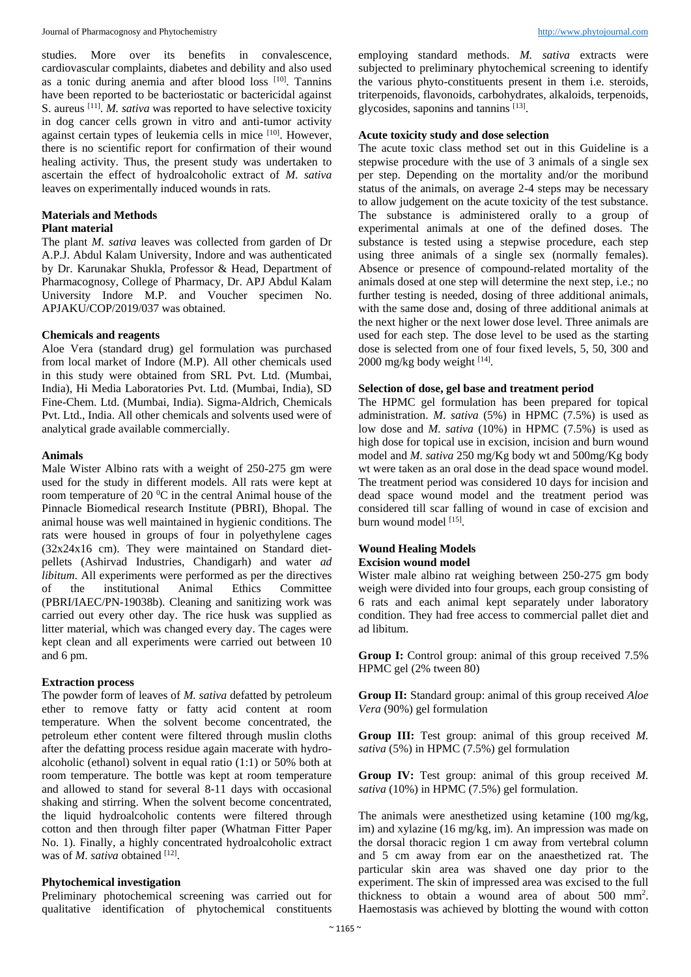studies. More over its benefits in convalescence, cardiovascular complaints, diabetes and debility and also used as a tonic during anemia and after blood loss [10]. Tannins have been reported to be bacteriostatic or bactericidal against S. aureus <sup>[11]</sup>. *M. sativa* was reported to have selective toxicity in dog cancer cells grown in vitro and anti-tumor activity against certain types of leukemia cells in mice [10]. However, there is no scientific report for confirmation of their wound healing activity. Thus, the present study was undertaken to ascertain the effect of hydroalcoholic extract of *M. sativa* leaves on experimentally induced wounds in rats.

#### **Materials and Methods Plant material**

The plant *M. sativa* leaves was collected from garden of Dr

A.P.J. Abdul Kalam University, Indore and was authenticated by Dr. Karunakar Shukla, Professor & Head, Department of Pharmacognosy, College of Pharmacy, Dr. APJ Abdul Kalam University Indore M.P. and Voucher specimen No. APJAKU/COP/2019/037 was obtained.

#### **Chemicals and reagents**

Aloe Vera (standard drug) gel formulation was purchased from local market of Indore (M.P). All other chemicals used in this study were obtained from SRL Pvt. Ltd. (Mumbai, India), Hi Media Laboratories Pvt. Ltd. (Mumbai, India), SD Fine-Chem. Ltd. (Mumbai, India). Sigma-Aldrich, Chemicals Pvt. Ltd., India. All other chemicals and solvents used were of analytical grade available commercially.

#### **Animals**

Male Wister Albino rats with a weight of 250-275 gm were used for the study in different models. All rats were kept at room temperature of 20 $\mathrm{^{0}C}$  in the central Animal house of the Pinnacle Biomedical research Institute (PBRI), Bhopal. The animal house was well maintained in hygienic conditions. The rats were housed in groups of four in polyethylene cages (32x24x16 cm). They were maintained on Standard dietpellets (Ashirvad Industries, Chandigarh) and water *ad libitum*. All experiments were performed as per the directives of the institutional Animal Ethics Committee (PBRI/IAEC/PN-19038b). Cleaning and sanitizing work was carried out every other day. The rice husk was supplied as litter material, which was changed every day. The cages were kept clean and all experiments were carried out between 10 and 6 pm.

#### **Extraction process**

The powder form of leaves of *M. sativa* defatted by petroleum ether to remove fatty or fatty acid content at room temperature. When the solvent become concentrated, the petroleum ether content were filtered through muslin cloths after the defatting process residue again macerate with hydroalcoholic (ethanol) solvent in equal ratio (1:1) or 50% both at room temperature. The bottle was kept at room temperature and allowed to stand for several 8-11 days with occasional shaking and stirring. When the solvent become concentrated, the liquid hydroalcoholic contents were filtered through cotton and then through filter paper (Whatman Fitter Paper No. 1). Finally, a highly concentrated hydroalcoholic extract was of *M. sativa* obtained [12].

#### **Phytochemical investigation**

Preliminary photochemical screening was carried out for qualitative identification of phytochemical constituents

employing standard methods. *M. sativa* extracts were subjected to preliminary phytochemical screening to identify the various phyto-constituents present in them i.e. steroids, triterpenoids, flavonoids, carbohydrates, alkaloids, terpenoids, glycosides, saponins and tannins [13] .

#### **Acute toxicity study and dose selection**

The acute toxic class method set out in this Guideline is a stepwise procedure with the use of 3 animals of a single sex per step. Depending on the mortality and/or the moribund status of the animals, on average 2-4 steps may be necessary to allow judgement on the acute toxicity of the test substance. The substance is administered orally to a group of experimental animals at one of the defined doses. The substance is tested using a stepwise procedure, each step using three animals of a single sex (normally females). Absence or presence of compound-related mortality of the animals dosed at one step will determine the next step, i.e.; no further testing is needed, dosing of three additional animals, with the same dose and, dosing of three additional animals at the next higher or the next lower dose level. Three animals are used for each step. The dose level to be used as the starting dose is selected from one of four fixed levels, 5, 50, 300 and 2000 mg/kg body weight [14].

#### **Selection of dose, gel base and treatment period**

The HPMC gel formulation has been prepared for topical administration. *M. sativa* (5%) in HPMC (7.5%) is used as low dose and *M. sativa* (10%) in HPMC (7.5%) is used as high dose for topical use in excision, incision and burn wound model and *M. sativa* 250 mg/Kg body wt and 500mg/Kg body wt were taken as an oral dose in the dead space wound model. The treatment period was considered 10 days for incision and dead space wound model and the treatment period was considered till scar falling of wound in case of excision and burn wound model [15].

#### **Wound Healing Models Excision wound model**

Wister male albino rat weighing between 250-275 gm body weigh were divided into four groups, each group consisting of 6 rats and each animal kept separately under laboratory condition. They had free access to commercial pallet diet and ad libitum.

**Group I:** Control group: animal of this group received 7.5% HPMC gel (2% tween 80)

**Group II:** Standard group: animal of this group received *Aloe Vera* (90%) gel formulation

**Group III:** Test group: animal of this group received *M. sativa* (5%) in HPMC (7.5%) gel formulation

**Group IV:** Test group: animal of this group received *M. sativa* (10%) in HPMC (7.5%) gel formulation.

The animals were anesthetized using ketamine (100 mg/kg, im) and xylazine (16 mg/kg, im). An impression was made on the dorsal thoracic region 1 cm away from vertebral column and 5 cm away from ear on the anaesthetized rat. The particular skin area was shaved one day prior to the experiment. The skin of impressed area was excised to the full thickness to obtain a wound area of about 500 mm<sup>2</sup> . Haemostasis was achieved by blotting the wound with cotton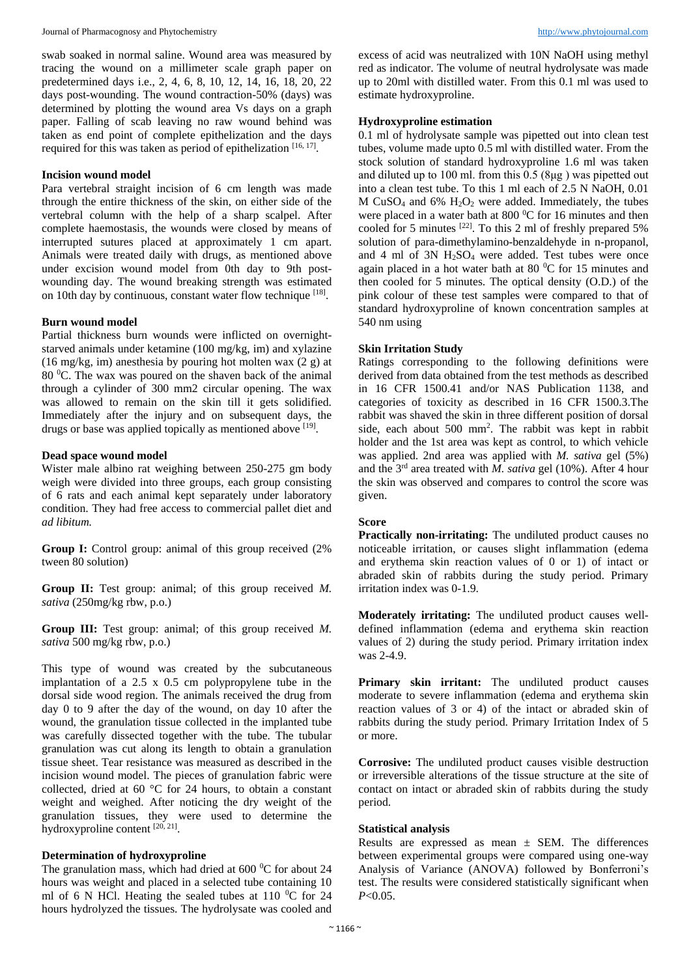swab soaked in normal saline. Wound area was measured by tracing the wound on a millimeter scale graph paper on predetermined days i.e., 2, 4, 6, 8, 10, 12, 14, 16, 18, 20, 22 days post-wounding. The wound contraction-50% (days) was determined by plotting the wound area Vs days on a graph paper. Falling of scab leaving no raw wound behind was taken as end point of complete epithelization and the days required for this was taken as period of epithelization [16, 17].

#### **Incision wound model**

Para vertebral straight incision of 6 cm length was made through the entire thickness of the skin, on either side of the vertebral column with the help of a sharp scalpel. After complete haemostasis, the wounds were closed by means of interrupted sutures placed at approximately 1 cm apart. Animals were treated daily with drugs, as mentioned above under excision wound model from 0th day to 9th postwounding day. The wound breaking strength was estimated on 10th day by continuous, constant water flow technique [18].

#### **Burn wound model**

Partial thickness burn wounds were inflicted on overnightstarved animals under ketamine (100 mg/kg, im) and xylazine (16 mg/kg, im) anesthesia by pouring hot molten wax  $(2 g)$  at 80 <sup>0</sup>C. The wax was poured on the shaven back of the animal through a cylinder of 300 mm2 circular opening. The wax was allowed to remain on the skin till it gets solidified. Immediately after the injury and on subsequent days, the drugs or base was applied topically as mentioned above [19].

#### **Dead space wound model**

Wister male albino rat weighing between 250-275 gm body weigh were divided into three groups, each group consisting of 6 rats and each animal kept separately under laboratory condition. They had free access to commercial pallet diet and *ad libitum.*

**Group I:** Control group: animal of this group received  $(2\%)$ tween 80 solution)

**Group II:** Test group: animal; of this group received *M. sativa* (250mg/kg rbw, p.o.)

**Group III:** Test group: animal; of this group received *M. sativa* 500 mg/kg rbw, p.o.)

This type of wound was created by the subcutaneous implantation of a 2.5 x 0.5 cm polypropylene tube in the dorsal side wood region. The animals received the drug from day 0 to 9 after the day of the wound, on day 10 after the wound, the granulation tissue collected in the implanted tube was carefully dissected together with the tube. The tubular granulation was cut along its length to obtain a granulation tissue sheet. Tear resistance was measured as described in the incision wound model. The pieces of granulation fabric were collected, dried at 60 °C for 24 hours, to obtain a constant weight and weighed. After noticing the dry weight of the granulation tissues, they were used to determine the hydroxyproline content  $[20, 21]$ .

#### **Determination of hydroxyproline**

The granulation mass, which had dried at  $600<sup>0</sup>C$  for about 24 hours was weight and placed in a selected tube containing 10 ml of 6 N HCl. Heating the sealed tubes at 110  $^{\circ}$ C for 24 hours hydrolyzed the tissues. The hydrolysate was cooled and excess of acid was neutralized with 10N NaOH using methyl red as indicator. The volume of neutral hydrolysate was made up to 20ml with distilled water. From this 0.1 ml was used to estimate hydroxyproline.

#### **Hydroxyproline estimation**

0.1 ml of hydrolysate sample was pipetted out into clean test tubes, volume made upto 0.5 ml with distilled water. From the stock solution of standard hydroxyproline 1.6 ml was taken and diluted up to 100 ml. from this 0.5 (8μg ) was pipetted out into a clean test tube. To this 1 ml each of 2.5 N NaOH, 0.01 M CuSO<sub>4</sub> and  $6\%$  H<sub>2</sub>O<sub>2</sub> were added. Immediately, the tubes were placed in a water bath at  $800\,^{\circ}$ C for 16 minutes and then cooled for 5 minutes <sup>[22]</sup>. To this 2 ml of freshly prepared 5% solution of para-dimethylamino-benzaldehyde in n-propanol, and 4 ml of 3N H2SO<sup>4</sup> were added. Test tubes were once again placed in a hot water bath at 80 <sup>0</sup>C for 15 minutes and then cooled for 5 minutes. The optical density (O.D.) of the pink colour of these test samples were compared to that of standard hydroxyproline of known concentration samples at 540 nm using

#### **Skin Irritation Study**

Ratings corresponding to the following definitions were derived from data obtained from the test methods as described in 16 CFR 1500.41 and/or NAS Publication 1138, and categories of toxicity as described in 16 CFR 1500.3.The rabbit was shaved the skin in three different position of dorsal side, each about 500 mm<sup>2</sup> . The rabbit was kept in rabbit holder and the 1st area was kept as control, to which vehicle was applied. 2nd area was applied with *M. sativa* gel (5%) and the 3rd area treated with *M. sativa* gel (10%). After 4 hour the skin was observed and compares to control the score was given.

#### **Score**

**Practically non-irritating:** The undiluted product causes no noticeable irritation, or causes slight inflammation (edema and erythema skin reaction values of 0 or 1) of intact or abraded skin of rabbits during the study period. Primary irritation index was 0-1.9.

**Moderately irritating:** The undiluted product causes welldefined inflammation (edema and erythema skin reaction values of 2) during the study period. Primary irritation index was 2-4.9.

Primary skin irritant: The undiluted product causes moderate to severe inflammation (edema and erythema skin reaction values of 3 or 4) of the intact or abraded skin of rabbits during the study period. Primary Irritation Index of 5 or more.

**Corrosive:** The undiluted product causes visible destruction or irreversible alterations of the tissue structure at the site of contact on intact or abraded skin of rabbits during the study period.

#### **Statistical analysis**

Results are expressed as mean  $\pm$  SEM. The differences between experimental groups were compared using one-way Analysis of Variance (ANOVA) followed by Bonferroni's test. The results were considered statistically significant when *P*<0.05.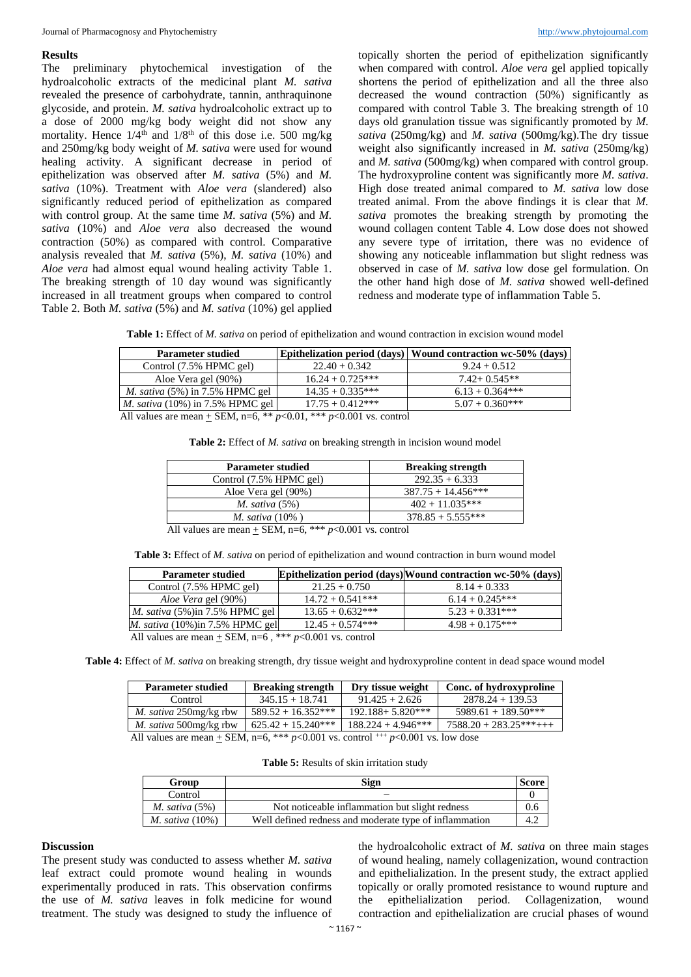#### **Results**

The preliminary phytochemical investigation of the hydroalcoholic extracts of the medicinal plant *M. sativa*  revealed the presence of carbohydrate, tannin, anthraquinone glycoside, and protein. *M. sativa* hydroalcoholic extract up to a dose of 2000 mg/kg body weight did not show any mortality. Hence  $1/4^{\text{th}}$  and  $1/8^{\text{th}}$  of this dose i.e. 500 mg/kg and 250mg/kg body weight of *M. sativa* were used for wound healing activity. A significant decrease in period of epithelization was observed after *M. sativa* (5%) and *M. sativa* (10%). Treatment with *Aloe vera* (slandered) also significantly reduced period of epithelization as compared with control group. At the same time *M. sativa* (5%) and *M*. *sativa* (10%) and *Aloe vera* also decreased the wound contraction (50%) as compared with control. Comparative analysis revealed that *M. sativa* (5%), *M. sativa* (10%) and *Aloe vera* had almost equal wound healing activity Table 1. The breaking strength of 10 day wound was significantly increased in all treatment groups when compared to control Table 2. Both *M. sativa* (5%) and *M. sativa* (10%) gel applied

topically shorten the period of epithelization significantly when compared with control. *Aloe vera* gel applied topically shortens the period of epithelization and all the three also decreased the wound contraction (50%) significantly as compared with control Table 3. The breaking strength of 10 days old granulation tissue was significantly promoted by *M. sativa* (250mg/kg) and *M. sativa* (500mg/kg).The dry tissue weight also significantly increased in *M. sativa* (250mg/kg) and *M. sativa* (500mg/kg) when compared with control group. The hydroxyproline content was significantly more *M. sativa*. High dose treated animal compared to *M. sativa* low dose treated animal. From the above findings it is clear that *M. sativa* promotes the breaking strength by promoting the wound collagen content Table 4. Low dose does not showed any severe type of irritation, there was no evidence of showing any noticeable inflammation but slight redness was observed in case of *M. sativa* low dose gel formulation. On the other hand high dose of *M. sativa* showed well-defined redness and moderate type of inflammation Table 5.

**Table 1:** Effect of *M. sativa* on period of epithelization and wound contraction in excision wound model

| <b>Parameter studied</b>                  |                    | Epithelization period (days)   Wound contraction wc-50% (days) |
|-------------------------------------------|--------------------|----------------------------------------------------------------|
| Control $(7.5\%$ HPMC gel)                | $22.40 + 0.342$    | $9.24 + 0.512$                                                 |
| Aloe Vera gel (90%)                       | $16.24 + 0.725***$ | $7.42 + 0.545**$                                               |
| <i>M. sativa</i> $(5\%)$ in 7.5% HPMC gel | $14.35 + 0.335***$ | $6.13 + 0.364***$                                              |
| <i>M. sativa</i> (10%) in 7.5% HPMC gel   | $17.75 + 0.412***$ | $5.07 + 0.360$ ***                                             |
|                                           |                    |                                                                |

All values are mean  $\pm$  SEM, n=6, \*\*  $p$ <0.01, \*\*\*  $p$ <0.001 vs. control

| Table 2: Effect of M. sativa on breaking strength in incision wound model |  |  |  |  |
|---------------------------------------------------------------------------|--|--|--|--|
|---------------------------------------------------------------------------|--|--|--|--|

| <b>Parameter studied</b>                                                        | <b>Breaking strength</b> |
|---------------------------------------------------------------------------------|--------------------------|
| Control (7.5% HPMC gel)                                                         | $292.35 + 6.333$         |
| Aloe Vera gel (90%)                                                             | $387.75 + 14.456***$     |
| M. sativa $(5\%)$                                                               | $402 + 11.035***$        |
| M. sativa $(10\%)$                                                              | $378.85 + 5.555***$      |
| All velues are mean $\mathbb{C}EM \rightarrow K$ *** $n \leq 0.001$ vs. control |                          |

All values are mean + SEM, n=6, \*\*\* *p*<0.001 vs. control

**Table 3:** Effect of *M. sativa* on period of epithelization and wound contraction in burn wound model

| <b>Parameter studied</b>                                      |                    | Epithelization period (days) Wound contraction wc-50% (days) |
|---------------------------------------------------------------|--------------------|--------------------------------------------------------------|
| Control (7.5% HPMC gel)                                       | $21.25 + 0.750$    | $8.14 + 0.333$                                               |
| Aloe Vera gel (90%)                                           | $14.72 + 0.541***$ | $6.14 + 0.245***$                                            |
| M. sativa $(5\%)$ in 7.5% HPMC gel                            | $13.65 + 0.632***$ | $5.23 + 0.331***$                                            |
| M. sativa $(10\%)$ in 7.5% HPMC gel                           | $12.45 + 0.574***$ | $4.98 + 0.175***$                                            |
| All values are mean $\pm$ SEM, n=6, *** $p<0.001$ vs. control |                    |                                                              |

**Table 4:** Effect of *M. sativa* on breaking strength, dry tissue weight and hydroxyproline content in dead space wound model

| <b>Parameter studied</b>                                                                 | <b>Breaking strength</b> | Dry tissue weight    | Conc. of hydroxyproline |
|------------------------------------------------------------------------------------------|--------------------------|----------------------|-------------------------|
| Control                                                                                  | $345.15 + 18.741$        | $91.425 + 2.626$     | $2878.24 + 139.53$      |
| <i>M. sativa</i> 250mg/kg rbw                                                            | $589.52 + 16.352***$     | $192.188 + 5.820***$ | $5989.61 + 189.50***$   |
| <i>M. sativa</i> 500mg/kg rbw                                                            | $625.42 + 15.240***$     | $188.224 + 4.946***$ | $7588.20 + 283.25***++$ |
| All values are mean + SEM, n=6, *** $p<0.001$ vs. control $^{++}$ $p<0.001$ vs. low dose |                          |                      |                         |

| Table 5: Results of skin irritation study |  |
|-------------------------------------------|--|
|-------------------------------------------|--|

| Group              | Sign                                                   | <b>Score</b> |
|--------------------|--------------------------------------------------------|--------------|
| Control            |                                                        |              |
| M. sativa $(5\%)$  | Not noticeable inflammation but slight redness         | 0.6          |
| M. sativa $(10\%)$ | Well defined redness and moderate type of inflammation | 4.2          |

#### **Discussion**

The present study was conducted to assess whether *M. sativa* leaf extract could promote wound healing in wounds experimentally produced in rats. This observation confirms the use of *M. sativa* leaves in folk medicine for wound treatment. The study was designed to study the influence of

the hydroalcoholic extract of *M. sativa* on three main stages of wound healing, namely collagenization, wound contraction and epithelialization. In the present study, the extract applied topically or orally promoted resistance to wound rupture and the epithelialization period. Collagenization, wound contraction and epithelialization are crucial phases of wound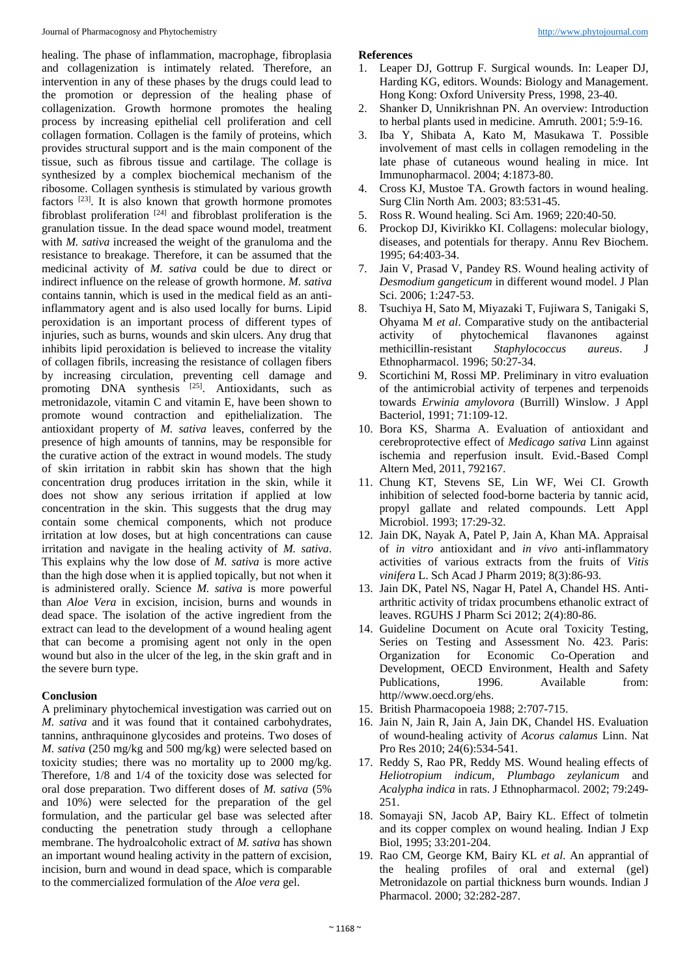healing. The phase of inflammation, macrophage, fibroplasia and collagenization is intimately related. Therefore, an intervention in any of these phases by the drugs could lead to the promotion or depression of the healing phase of collagenization. Growth hormone promotes the healing process by increasing epithelial cell proliferation and cell collagen formation. Collagen is the family of proteins, which provides structural support and is the main component of the tissue, such as fibrous tissue and cartilage. The collage is synthesized by a complex biochemical mechanism of the ribosome. Collagen synthesis is stimulated by various growth factors  $[23]$ . It is also known that growth hormone promotes fibroblast proliferation  $[24]$  and fibroblast proliferation is the granulation tissue. In the dead space wound model, treatment with *M. sativa* increased the weight of the granuloma and the resistance to breakage. Therefore, it can be assumed that the medicinal activity of *M. sativa* could be due to direct or indirect influence on the release of growth hormone. *M. sativa* contains tannin, which is used in the medical field as an antiinflammatory agent and is also used locally for burns. Lipid peroxidation is an important process of different types of injuries, such as burns, wounds and skin ulcers. Any drug that inhibits lipid peroxidation is believed to increase the vitality of collagen fibrils, increasing the resistance of collagen fibers by increasing circulation, preventing cell damage and promoting  $DNA$  synthesis  $^{[25]}$ . Antioxidants, such as metronidazole, vitamin C and vitamin E, have been shown to promote wound contraction and epithelialization. The antioxidant property of *M. sativa* leaves, conferred by the presence of high amounts of tannins, may be responsible for the curative action of the extract in wound models. The study of skin irritation in rabbit skin has shown that the high concentration drug produces irritation in the skin, while it does not show any serious irritation if applied at low concentration in the skin. This suggests that the drug may contain some chemical components, which not produce irritation at low doses, but at high concentrations can cause irritation and navigate in the healing activity of *M. sativa*. This explains why the low dose of *M. sativa* is more active than the high dose when it is applied topically, but not when it is administered orally. Science *M. sativa* is more powerful than *Aloe Vera* in excision, incision, burns and wounds in dead space. The isolation of the active ingredient from the extract can lead to the development of a wound healing agent that can become a promising agent not only in the open wound but also in the ulcer of the leg, in the skin graft and in the severe burn type.

#### **Conclusion**

A preliminary phytochemical investigation was carried out on *M. sativa* and it was found that it contained carbohydrates, tannins, anthraquinone glycosides and proteins. Two doses of *M. sativa* (250 mg/kg and 500 mg/kg) were selected based on toxicity studies; there was no mortality up to 2000 mg/kg. Therefore, 1/8 and 1/4 of the toxicity dose was selected for oral dose preparation. Two different doses of *M. sativa* (5% and 10%) were selected for the preparation of the gel formulation, and the particular gel base was selected after conducting the penetration study through a cellophane membrane. The hydroalcoholic extract of *M. sativa* has shown an important wound healing activity in the pattern of excision, incision, burn and wound in dead space, which is comparable to the commercialized formulation of the *Aloe vera* gel.

#### **References**

- 1. Leaper DJ, Gottrup F. Surgical wounds. In: Leaper DJ, Harding KG, editors. Wounds: Biology and Management. Hong Kong: Oxford University Press, 1998, 23-40.
- 2. Shanker D, Unnikrishnan PN. An overview: Introduction to herbal plants used in medicine. Amruth. 2001; 5:9-16.
- 3. Iba Y, Shibata A, Kato M, Masukawa T. Possible involvement of mast cells in collagen remodeling in the late phase of cutaneous wound healing in mice. Int Immunopharmacol. 2004; 4:1873-80.
- 4. Cross KJ, Mustoe TA. Growth factors in wound healing. Surg Clin North Am. 2003; 83:531-45.
- 5. Ross R. Wound healing. Sci Am. 1969; 220:40-50.
- 6. Prockop DJ, Kivirikko KI. Collagens: molecular biology, diseases, and potentials for therapy. Annu Rev Biochem. 1995; 64:403-34.
- 7. Jain V, Prasad V, Pandey RS. Wound healing activity of *Desmodium gangeticum* in different wound model. J Plan Sci. 2006; 1:247-53.
- 8. Tsuchiya H, Sato M, Miyazaki T, Fujiwara S, Tanigaki S, Ohyama M *et al*. Comparative study on the antibacterial activity of phytochemical flavanones against methicillin-resistant *Staphylococcus aureus*. J Ethnopharmacol. 1996; 50:27-34.
- 9. Scortichini M, Rossi MP. Preliminary in vitro evaluation of the antimicrobial activity of terpenes and terpenoids towards *Erwinia amylovora* (Burrill) Winslow. J Appl Bacteriol, 1991; 71:109-12.
- 10. Bora KS, Sharma A. Evaluation of antioxidant and cerebroprotective effect of *Medicago sativa* Linn against ischemia and reperfusion insult. Evid.-Based Compl Altern Med, 2011, 792167.
- 11. Chung KT, Stevens SE, Lin WF, Wei CI. Growth inhibition of selected food-borne bacteria by tannic acid, propyl gallate and related compounds. Lett Appl Microbiol. 1993; 17:29-32.
- 12. Jain DK, Nayak A, Patel P, Jain A, Khan MA. Appraisal of *in vitro* antioxidant and *in vivo* anti-inflammatory activities of various extracts from the fruits of *Vitis vinifera* L. Sch Acad J Pharm 2019; 8(3):86-93.
- 13. Jain DK, Patel NS, Nagar H, Patel A, Chandel HS. Antiarthritic activity of tridax procumbens ethanolic extract of leaves. RGUHS J Pharm Sci 2012; 2(4):80-86.
- 14. Guideline Document on Acute oral Toxicity Testing, Series on Testing and Assessment No. 423. Paris: Organization for Economic Co-Operation and Development, OECD Environment, Health and Safety Publications, 1996. Available from: http//www.oecd.org/ehs.
- 15. British Pharmacopoeia 1988; 2:707-715.
- 16. Jain N, Jain R, Jain A, Jain DK, Chandel HS. Evaluation of wound-healing activity of *Acorus calamus* Linn. Nat Pro Res 2010; 24(6):534-541.
- 17. Reddy S, Rao PR, Reddy MS. Wound healing effects of *Heliotropium indicum*, *Plumbago zeylanicum* and *Acalypha indica* in rats. J Ethnopharmacol. 2002; 79:249- 251.
- 18. Somayaji SN, Jacob AP, Bairy KL. Effect of tolmetin and its copper complex on wound healing. Indian J Exp Biol, 1995; 33:201-204.
- 19. Rao CM, George KM, Bairy KL *et al*. An apprantial of the healing profiles of oral and external (gel) Metronidazole on partial thickness burn wounds. Indian J Pharmacol. 2000; 32:282-287.